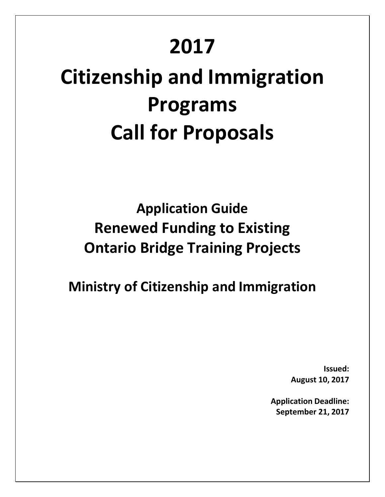# **2017**

# **Citizenship and Immigration Programs Call for Proposals**

**Application Guide Renewed Funding to Existing Ontario Bridge Training Projects**

**Ministry of Citizenship and Immigration**

**Issued: August 10, 2017**

**Application Deadline: September 21, 2017**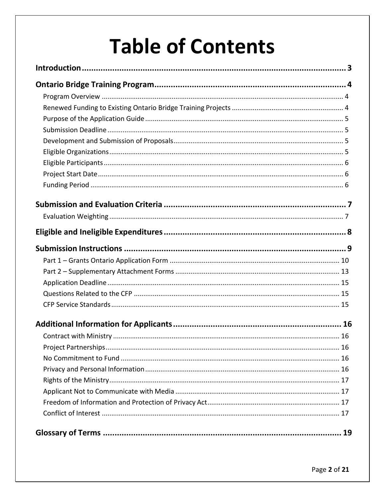# **Table of Contents**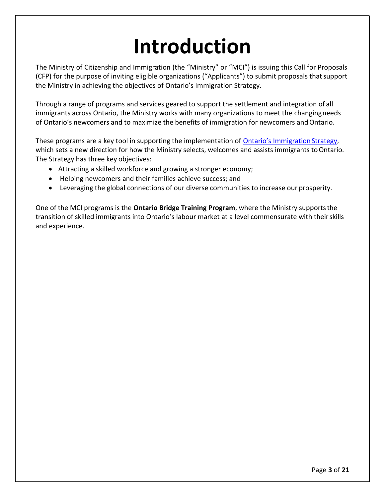# **Introduction**

<span id="page-2-0"></span>The Ministry of Citizenship and Immigration (the "Ministry" or "MCI") is issuing this Call for Proposals (CFP) for the purpose of inviting eligible organizations ("Applicants") to submit proposals that support the Ministry in achieving the objectives of Ontario's Immigration Strategy.

Through a range of programs and services geared to support the settlement and integration of all immigrants across Ontario, the Ministry works with many organizations to meet the changing needs of Ontario's newcomers and to maximize the benefits of immigration for newcomers and Ontario.

These programs are a key tool in supporting the implementation of [Ontario's Immigration](http://www.citizenship.gov.on.ca/english/keyinitiatives/imm_str/strategy/index.shtml) Strategy, which sets a new direction for how the Ministry selects, welcomes and assists immigrants to Ontario. The Strategy has three key objectives:

- Attracting a skilled workforce and growing a stronger economy;
- Helping newcomers and their families achieve success; and
- Leveraging the global connections of our diverse communities to increase our prosperity.

One of the MCI programs is the **Ontario Bridge Training Program**, where the Ministry supports the transition of skilled immigrants into Ontario's labour market at a level commensurate with their skills and experience.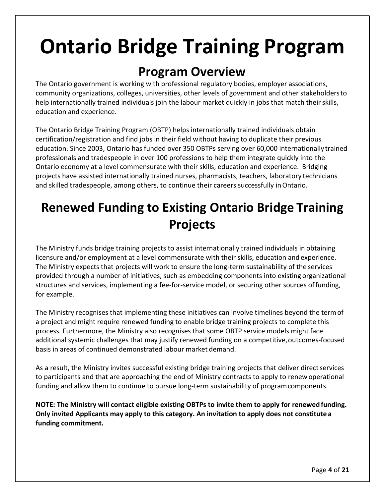# <span id="page-3-0"></span>**Ontario Bridge Training Program**

### **Program Overview**

<span id="page-3-1"></span>The Ontario government is working with professional regulatory bodies, employer associations, community organizations, colleges, universities, other levels of government and other stakeholders to help internationally trained individuals join the labour market quickly in jobs that match their skills, education and experience.

The Ontario Bridge Training Program (OBTP) helps internationally trained individuals obtain certification/registration and find jobs in their field without having to duplicate their previous education. Since 2003, Ontario has funded over 350 OBTPs serving over 60,000 internationally trained professionals and tradespeople in over 100 professions to help them integrate quickly into the Ontario economy at a level commensurate with their skills, education and experience. Bridging projects have assisted internationally trained nurses, pharmacists, teachers, laboratory technicians and skilled tradespeople, among others, to continue their careers successfully in Ontario.

## <span id="page-3-2"></span>**Renewed Funding to Existing Ontario Bridge Training Projects**

The Ministry funds bridge training projects to assist internationally trained individuals in obtaining licensure and/or employment at a level commensurate with their skills, education and experience. The Ministry expects that projects will work to ensure the long-term sustainability of the services provided through a number of initiatives, such as embedding components into existing organizational structures and services, implementing a fee-for-service model, or securing other sources of funding, for example.

The Ministry recognises that implementing these initiatives can involve timelines beyond the term of a project and might require renewed funding to enable bridge training projects to complete this process. Furthermore, the Ministry also recognises that some OBTP service models might face additional systemic challenges that may justify renewed funding on a competitive, outcomes-focused basis in areas of continued demonstrated labour market demand.

As a result, the Ministry invites successful existing bridge training projects that deliver direct services to participants and that are approaching the end of Ministry contracts to apply to renew operational funding and allow them to continue to pursue long-term sustainability of program components.

**NOTE: The Ministry will contact eligible existing OBTPs to invite them to apply for renewed funding. Only invited Applicants may apply to this category. An invitation to apply does not constitute a funding commitment.**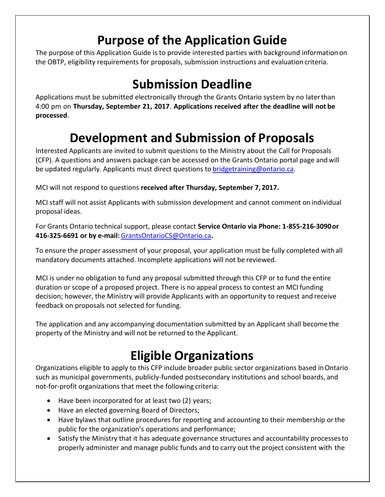## **Purpose of the Application Guide**

<span id="page-4-0"></span>The purpose of this Application Guide is to provide interested parties with background information on the OBTP, eligibility requirements for proposals, submission instructions and evaluation criteria.

## **Submission Deadline**

<span id="page-4-1"></span>Applications must be submitted electronically through the Grants Ontario system by no later than 4:00 pm on **Thursday, September 21, 2017**. **Applications received after the deadline will not be processed**.

# **Development and Submission of Proposals**

<span id="page-4-2"></span>Interested Applicants are invited to submit questions to the Ministry about the Call for Proposals (CFP). A questions and answers package can be accessed on the Grants Ontario portal page and will be updated regularly. Applicants must direct questions t[o bridgetraining@ontario.ca.](mailto:bridgetraining@ontario.ca)

MCI will not respond to questions **received after Thursday, September 7, 2017.**

MCI staff will not assist Applicants with submission development and cannot comment on individual proposal ideas.

For Grants Ontario technical support, please contact **Service Ontario via Phone: 1-855-216-3090 or 416-325-6691 or by e-mail:** [GrantsOntarioCS@Ontario.ca](mailto:GrantsOntarioCS@Ontario.ca)**.**

To ensure the proper assessment of your proposal, your application must be fully completed with all mandatory documents attached. Incomplete applications will not be reviewed.

MCI is under no obligation to fund any proposal submitted through this CFP or to fund the entire duration or scope of a proposed project. There is no appeal process to contest an MCI funding decision; however, the Ministry will provide Applicants with an opportunity to request and receive feedback on proposals not selected for funding.

The application and any accompanying documentation submitted by an Applicant shall become the property of the Ministry and will not be returned to the Applicant.

## **Eligible Organizations**

<span id="page-4-3"></span>Organizations eligible to apply to this CFP include broader public sector organizations based in Ontario such as municipal governments, publicly-funded postsecondary institutions and school boards, and not-for-profit organizations that meet the following criteria:

- Have been incorporated for at least two (2) years;
- Have an elected governing Board of Directors;
- Have bylaws that outline procedures for reporting and accounting to their membership or the public for the organization's operations and performance;
- Satisfy the Ministry that it has adequate governance structures and accountability processes to properly administer and manage public funds and to carry out the project consistent with the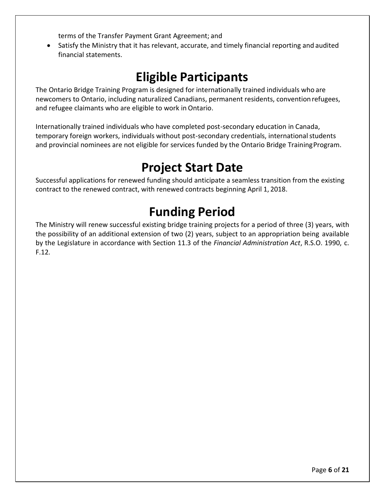terms of the Transfer Payment Grant Agreement; and

 Satisfy the Ministry that it has relevant, accurate, and timely financial reporting and audited financial statements.

### **Eligible Participants**

<span id="page-5-0"></span>The Ontario Bridge Training Program is designed for internationally trained individuals who are newcomers to Ontario, including naturalized Canadians, permanent residents, convention refugees, and refugee claimants who are eligible to work in Ontario.

Internationally trained individuals who have completed post-secondary education in Canada, temporary foreign workers, individuals without post-secondary credentials, international students and provincial nominees are not eligible for services funded by the Ontario Bridge Training Program.

## **Project Start Date**

<span id="page-5-1"></span>Successful applications for renewed funding should anticipate a seamless transition from the existing contract to the renewed contract, with renewed contracts beginning April 1, 2018.

## **Funding Period**

<span id="page-5-2"></span>The Ministry will renew successful existing bridge training projects for a period of three (3) years, with the possibility of an additional extension of two (2) years, subject to an appropriation being available by the Legislature in accordance with Section 11.3 of the *Financial Administration Act*, R.S.O. 1990, c. F.12*.*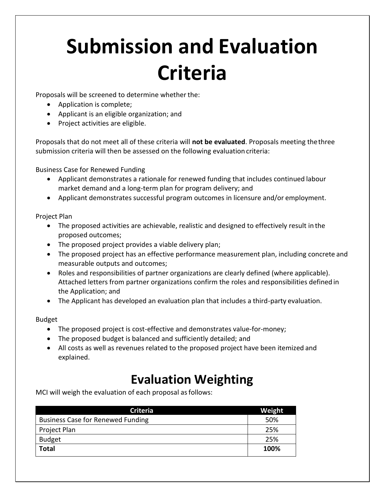# <span id="page-6-0"></span>**Submission and Evaluation Criteria**

Proposals will be screened to determine whether the:

- Application is complete;
- Applicant is an eligible organization; and
- Project activities are eligible.

Proposals that do not meet all of these criteria will **not be evaluated**. Proposals meeting the three submission criteria will then be assessed on the following evaluation criteria:

Business Case for Renewed Funding

- Applicant demonstrates a rationale for renewed funding that includes continued labour market demand and a long-term plan for program delivery; and
- Applicant demonstrates successful program outcomes in licensure and/or employment.

Project Plan

- The proposed activities are achievable, realistic and designed to effectively result in the proposed outcomes;
- The proposed project provides a viable delivery plan;
- The proposed project has an effective performance measurement plan, including concrete and measurable outputs and outcomes;
- Roles and responsibilities of partner organizations are clearly defined (where applicable). Attached letters from partner organizations confirm the roles and responsibilities defined in the Application; and
- The Applicant has developed an evaluation plan that includes a third-party evaluation.

#### Budget

- The proposed project is cost-effective and demonstrates value-for-money;
- The proposed budget is balanced and sufficiently detailed; and
- All costs as well as revenues related to the proposed project have been itemized and explained.

## **Evaluation Weighting**

<span id="page-6-1"></span>MCI will weigh the evaluation of each proposal as follows:

| <b>Criteria</b>                          | Weight |
|------------------------------------------|--------|
| <b>Business Case for Renewed Funding</b> | 50%    |
| Project Plan                             | 25%    |
| <b>Budget</b>                            | 25%    |
| <b>Total</b>                             | 100%   |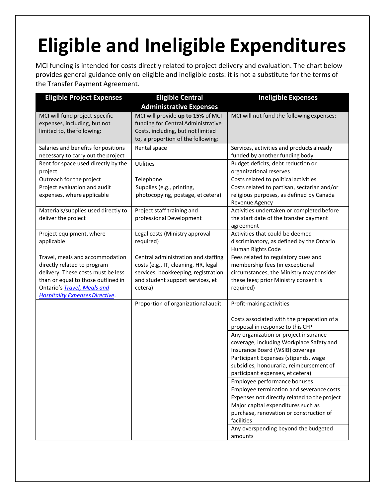# <span id="page-7-0"></span>**Eligible and Ineligible Expenditures**

MCI funding is intended for costs directly related to project delivery and evaluation. The chart below provides general guidance only on eligible and ineligible costs: it is not a substitute for the terms of the Transfer Payment Agreement.

| <b>Eligible Project Expenses</b>                                                                                                                                                                                    | <b>Eligible Central</b>                                                                                                                                           | <b>Ineligible Expenses</b>                                                                                                                                               |
|---------------------------------------------------------------------------------------------------------------------------------------------------------------------------------------------------------------------|-------------------------------------------------------------------------------------------------------------------------------------------------------------------|--------------------------------------------------------------------------------------------------------------------------------------------------------------------------|
|                                                                                                                                                                                                                     | <b>Administrative Expenses</b>                                                                                                                                    |                                                                                                                                                                          |
| MCI will fund project-specific<br>expenses, including, but not<br>limited to, the following:                                                                                                                        | MCI will provide up to 15% of MCI<br>funding for Central Administrative<br>Costs, including, but not limited<br>to, a proportion of the following:                | MCI will not fund the following expenses:                                                                                                                                |
| Salaries and benefits for positions<br>necessary to carry out the project                                                                                                                                           | Rental space                                                                                                                                                      | Services, activities and products already<br>funded by another funding body                                                                                              |
| Rent for space used directly by the<br>project                                                                                                                                                                      | <b>Utilities</b>                                                                                                                                                  | Budget deficits, debt reduction or<br>organizational reserves                                                                                                            |
| Outreach for the project                                                                                                                                                                                            | Telephone                                                                                                                                                         | Costs related to political activities                                                                                                                                    |
| Project evaluation and audit<br>expenses, where applicable                                                                                                                                                          | Supplies (e.g., printing,<br>photocopying, postage, et cetera)                                                                                                    | Costs related to partisan, sectarian and/or<br>religious purposes, as defined by Canada<br>Revenue Agency                                                                |
| Materials/supplies used directly to<br>deliver the project                                                                                                                                                          | Project staff training and<br>professional Development                                                                                                            | Activities undertaken or completed before<br>the start date of the transfer payment<br>agreement                                                                         |
| Project equipment, where<br>applicable                                                                                                                                                                              | Legal costs (Ministry approval<br>required)                                                                                                                       | Activities that could be deemed<br>discriminatory, as defined by the Ontario<br>Human Rights Code                                                                        |
| Travel, meals and accommodation<br>directly related to program<br>delivery. These costs must be less<br>than or equal to those outlined in<br>Ontario's Travel, Meals and<br><b>Hospitality Expenses Directive.</b> | Central administration and staffing<br>costs (e.g., IT, cleaning, HR, legal<br>services, bookkeeping, registration<br>and student support services, et<br>cetera) | Fees related to regulatory dues and<br>membership fees (in exceptional<br>circumstances, the Ministry may consider<br>these fees; prior Ministry consent is<br>required) |
|                                                                                                                                                                                                                     | Proportion of organizational audit                                                                                                                                | Profit-making activities                                                                                                                                                 |
|                                                                                                                                                                                                                     |                                                                                                                                                                   | Costs associated with the preparation of a<br>proposal in response to this CFP                                                                                           |
|                                                                                                                                                                                                                     |                                                                                                                                                                   | Any organization or project insurance<br>coverage, including Workplace Safety and<br>Insurance Board (WSIB) coverage                                                     |
|                                                                                                                                                                                                                     |                                                                                                                                                                   | Participant Expenses (stipends, wage<br>subsidies, honouraria, reimbursement of<br>participant expenses, et cetera)                                                      |
|                                                                                                                                                                                                                     |                                                                                                                                                                   | Employee performance bonuses                                                                                                                                             |
|                                                                                                                                                                                                                     |                                                                                                                                                                   | Employee termination and severance costs                                                                                                                                 |
|                                                                                                                                                                                                                     |                                                                                                                                                                   | Expenses not directly related to the project                                                                                                                             |
|                                                                                                                                                                                                                     |                                                                                                                                                                   | Major capital expenditures such as<br>purchase, renovation or construction of<br>facilities                                                                              |
|                                                                                                                                                                                                                     |                                                                                                                                                                   | Any overspending beyond the budgeted<br>amounts                                                                                                                          |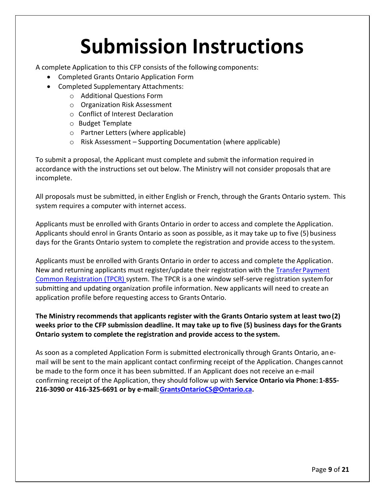# **Submission Instructions**

<span id="page-8-0"></span>A complete Application to this CFP consists of the following components:

- Completed Grants Ontario Application Form
- Completed Supplementary Attachments:
	- o Additional Questions Form
	- o Organization Risk Assessment
	- o Conflict of Interest Declaration
	- o Budget Template
	- o Partner Letters (where applicable)
	- o Risk Assessment Supporting Documentation (where applicable)

To submit a proposal, the Applicant must complete and submit the information required in accordance with the instructions set out below. The Ministry will not consider proposals that are incomplete.

All proposals must be submitted, in either English or French, through the Grants Ontario system. This system requires a computer with internet access.

Applicants must be enrolled with Grants Ontario in order to access and complete the Application. Applicants should enrol in Grants Ontario as soon as possible, as it may take up to five (5) business days for the Grants Ontario system to complete the registration and provide access to the system.

Applicants must be enrolled with Grants Ontario in order to access and complete the Application. New and returning applicants must register/update their registration with the [Transfer Payment](http://www.grants.gov.on.ca/GrantsPortal/en/TransferPaymentCommonRegistration/HowtoRegister/index.htm) [Common Registration \(TPCR\) s](http://www.grants.gov.on.ca/GrantsPortal/en/TransferPaymentCommonRegistration/HowtoRegister/index.htm)ystem. The TPCR is a one window self-serve registration system for submitting and updating organization profile information. New applicants will need to create an application profile before requesting access to Grants Ontario.

**The Ministry recommends that applicants register with the Grants Ontario system at least two (2) weeks prior to the CFP submission deadline. It may take up to five (5) business days for the Grants Ontario system to complete the registration and provide access to the system.**

As soon as a completed Application Form is submitted electronically through Grants Ontario, an email will be sent to the main applicant contact confirming receipt of the Application. Changes cannot be made to the form once it has been submitted. If an Applicant does not receive an e-mail confirming receipt of the Application, they should follow up with **Service Ontario via Phone: 1-855- 216-3090 or 416-325-6691 or by e-mail[: GrantsOntarioCS@Ontario.ca.](mailto:GrantsOntarioCS@Ontario.ca)**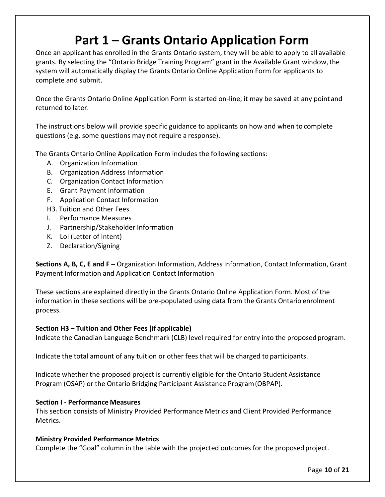### **Part 1 – Grants Ontario Application Form**

<span id="page-9-0"></span>Once an applicant has enrolled in the Grants Ontario system, they will be able to apply to all available grants. By selecting the "Ontario Bridge Training Program" grant in the Available Grant window, the system will automatically display the Grants Ontario Online Application Form for applicants to complete and submit.

Once the Grants Ontario Online Application Form is started on-line, it may be saved at any point and returned to later.

The instructions below will provide specific guidance to applicants on how and when to complete questions (e.g. some questions may not require a response).

The Grants Ontario Online Application Form includes the following sections:

- A. Organization Information
- B. Organization Address Information
- C. Organization Contact Information
- E. Grant Payment Information
- F. Application Contact Information
- H3. Tuition and Other Fees
- I. Performance Measures
- J. Partnership/Stakeholder Information
- K. LoI (Letter of Intent)
- Z. Declaration/Signing

**Sections A, B, C, E and F –** Organization Information, Address Information, Contact Information, Grant Payment Information and Application Contact Information

These sections are explained directly in the Grants Ontario Online Application Form. Most of the information in these sections will be pre-populated using data from the Grants Ontario enrolment process.

#### **Section H3 – Tuition and Other Fees (if applicable)**

Indicate the Canadian Language Benchmark (CLB) level required for entry into the proposed program.

Indicate the total amount of any tuition or other fees that will be charged to participants.

Indicate whether the proposed project is currently eligible for the Ontario Student Assistance Program (OSAP) or the Ontario Bridging Participant Assistance Program (OBPAP).

#### **Section I - Performance Measures**

This section consists of Ministry Provided Performance Metrics and Client Provided Performance Metrics.

#### **Ministry Provided Performance Metrics**

Complete the "Goal" column in the table with the projected outcomes for the proposed project.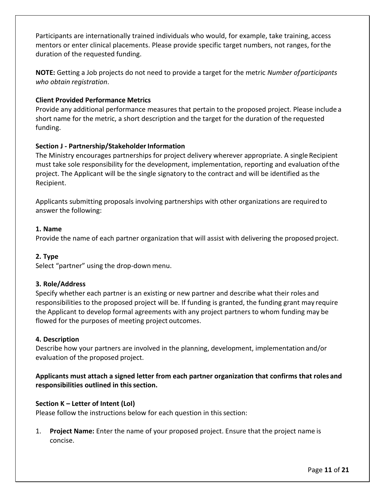Participants are internationally trained individuals who would, for example, take training, access mentors or enter clinical placements. Please provide specific target numbers, not ranges, for the duration of the requested funding.

**NOTE:** Getting a Job projects do not need to provide a target for the metric *Number of participants who obtain registration*.

#### **Client Provided Performance Metrics**

Provide any additional performance measures that pertain to the proposed project. Please include a short name for the metric, a short description and the target for the duration of the requested funding.

#### **Section J - Partnership/Stakeholder Information**

The Ministry encourages partnerships for project delivery wherever appropriate. A single Recipient must take sole responsibility for the development, implementation, reporting and evaluation of the project. The Applicant will be the single signatory to the contract and will be identified as the Recipient.

Applicants submitting proposals involving partnerships with other organizations are required to answer the following:

#### **1. Name**

Provide the name of each partner organization that will assist with delivering the proposed project.

#### **2. Type**

Select "partner" using the drop-down menu.

#### **3. Role/Address**

Specify whether each partner is an existing or new partner and describe what their roles and responsibilities to the proposed project will be. If funding is granted, the funding grant may require the Applicant to develop formal agreements with any project partners to whom funding may be flowed for the purposes of meeting project outcomes.

#### **4. Description**

Describe how your partners are involved in the planning, development, implementation and/or evaluation of the proposed project.

**Applicants must attach a signed letter from each partner organization that confirms that roles and responsibilities outlined in this section.**

#### **Section K – Letter of Intent (LoI)**

Please follow the instructions below for each question in this section:

1. **Project Name:** Enter the name of your proposed project. Ensure that the project name is concise.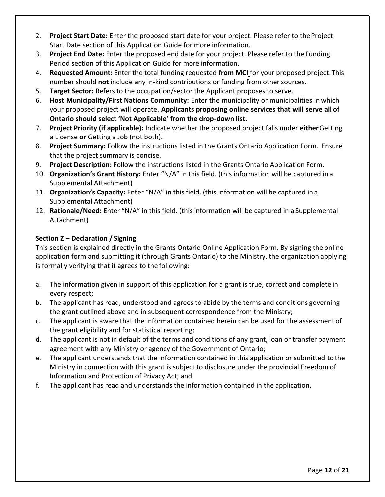- 2. **Project Start Date:** Enter the proposed start date for your project. Please refer to the Project Start Date section of this Application Guide for more information.
- 3. **Project End Date:** Enter the proposed end date for your project. Please refer to the Funding Period section of this Application Guide for more information.
- 4. **Requested Amount:** Enter the total funding requested **from MCI** for your proposed project. This number should **not** include any in-kind contributions or funding from other sources.
- 5. **Target Sector:** Refers to the occupation/sector the Applicant proposes to serve.
- 6. **Host Municipality/First Nations Community:** Enter the municipality or municipalities in which your proposed project will operate. **Applicants proposing online services that will serve all of Ontario should select 'Not Applicable' from the drop-down list.**
- 7. **Project Priority (if applicable):** Indicate whether the proposed project falls under **either** Getting a License **or** Getting a Job (not both).
- 8. **Project Summary:** Follow the instructions listed in the Grants Ontario Application Form. Ensure that the project summary is concise.
- 9. **Project Description:** Follow the instructions listed in the Grants Ontario Application Form.
- 10. **Organization's Grant History:** Enter "N/A" in this field. (this information will be captured in a Supplemental Attachment)
- 11. **Organization's Capacity:** Enter "N/A" in this field. (this information will be captured in a Supplemental Attachment)
- 12. **Rationale/Need:** Enter "N/A" in this field. (this information will be captured in a Supplemental Attachment)

#### **Section Z – Declaration / Signing**

This section is explained directly in the Grants Ontario Online Application Form. By signing the online application form and submitting it (through Grants Ontario) to the Ministry, the organization applying is formally verifying that it agrees to the following:

- a. The information given in support of this application for a grant is true, correct and complete in every respect;
- b. The applicant has read, understood and agrees to abide by the terms and conditions governing the grant outlined above and in subsequent correspondence from the Ministry;
- c. The applicant is aware that the information contained herein can be used for the assessment of the grant eligibility and for statistical reporting;
- d. The applicant is not in default of the terms and conditions of any grant, loan or transfer payment agreement with any Ministry or agency of the Government of Ontario;
- e. The applicant understands that the information contained in this application or submitted to the Ministry in connection with this grant is subject to disclosure under the provincial Freedom of Information and Protection of Privacy Act; and
- f. The applicant has read and understands the information contained in the application.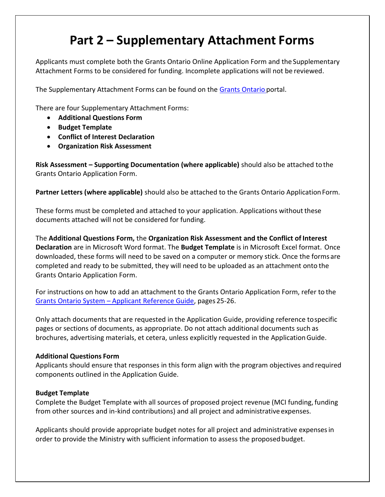### **Part 2 – Supplementary Attachment Forms**

<span id="page-12-0"></span>Applicants must complete both the Grants Ontario Online Application Form and the Supplementary Attachment Forms to be considered for funding. Incomplete applications will not be reviewed.

The Supplementary Attachment Forms can be found on the [Grants Ontario p](http://www.grants.gov.on.ca/GrantsPortal/en/OntarioGrants/GrantOpportunities/PRDR017449.html)ortal.

There are four Supplementary Attachment Forms:

- **Additional Questions Form**
- **Budget Template**
- **Conflict of Interest Declaration**
- **Organization Risk Assessment**

**Risk Assessment – Supporting Documentation (where applicable)** should also be attached to the Grants Ontario Application Form.

**Partner Letters (where applicable)** should also be attached to the Grants Ontario Application Form.

These forms must be completed and attached to your application. Applications without these documents attached will not be considered for funding.

The **Additional Questions Form,** the **Organization Risk Assessment and the Conflict of Interest Declaration** are in Microsoft Word format. The **Budget Template** is in Microsoft Excel format. Once downloaded, these forms will need to be saved on a computer or memory stick. Once the forms are completed and ready to be submitted, they will need to be uploaded as an attachment onto the Grants Ontario Application Form.

For instructions on how to add an attachment to the Grants Ontario Application Form, refer to the Grants Ontario System – [Applicant Reference Guide,](http://www.grants.gov.on.ca/prodconsum/groups/grants_web_contents/documents/grants_web_contents/prd11213170.pdf) pages 25-26.

Only attach documents that are requested in the Application Guide, providing reference to specific pages or sections of documents, as appropriate. Do not attach additional documents such as brochures, advertising materials, et cetera, unless explicitly requested in the Application Guide.

#### **Additional Questions Form**

Applicants should ensure that responses in this form align with the program objectives and required components outlined in the Application Guide.

#### **Budget Template**

Complete the Budget Template with all sources of proposed project revenue (MCI funding, funding from other sources and in-kind contributions) and all project and administrative expenses.

Applicants should provide appropriate budget notes for all project and administrative expenses in order to provide the Ministry with sufficient information to assess the proposed budget.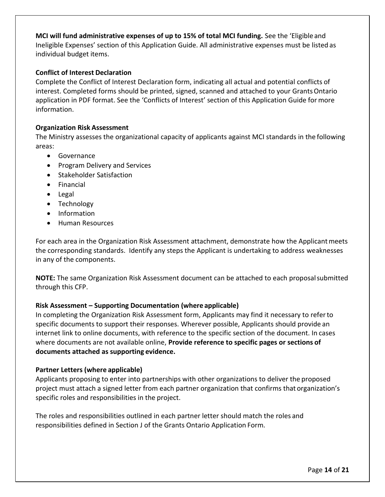**MCI will fund administrative expenses of up to 15% of total MCI funding.** See the 'Eligible and Ineligible Expenses' section of this Application Guide. All administrative expenses must be listed as individual budget items.

#### **Conflict of Interest Declaration**

Complete the Conflict of Interest Declaration form, indicating all actual and potential conflicts of interest. Completed forms should be printed, signed, scanned and attached to your Grants Ontario application in PDF format. See the 'Conflicts of Interest' section of this Application Guide for more information.

#### **Organization Risk Assessment**

The Ministry assesses the organizational capacity of applicants against MCI standards in the following areas:

- **•** Governance
- Program Delivery and Services
- **•** Stakeholder Satisfaction
- Financial
- Legal
- Technology
- Information
- Human Resources

For each area in the Organization Risk Assessment attachment, demonstrate how the Applicant meets the corresponding standards. Identify any steps the Applicant is undertaking to address weaknesses in any of the components.

**NOTE:** The same Organization Risk Assessment document can be attached to each proposal submitted through this CFP.

#### **Risk Assessment – Supporting Documentation (where applicable)**

In completing the Organization Risk Assessment form, Applicants may find it necessary to refer to specific documents to support their responses. Wherever possible, Applicants should provide an internet link to online documents, with reference to the specific section of the document. In cases where documents are not available online, **Provide reference to specific pages or sections of documents attached as supporting evidence.**

#### **Partner Letters (where applicable)**

Applicants proposing to enter into partnerships with other organizations to deliver the proposed project must attach a signed letter from each partner organization that confirms that organization's specific roles and responsibilities in the project.

The roles and responsibilities outlined in each partner letter should match the roles and responsibilities defined in Section J of the Grants Ontario Application Form.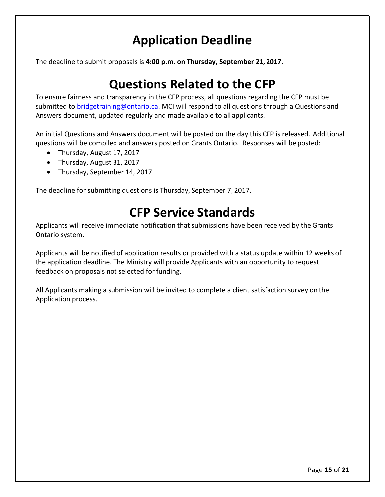### **Application Deadline**

<span id="page-14-0"></span>The deadline to submit proposals is **4:00 p.m. on Thursday, September 21, 2017**.

### **Questions Related to the CFP**

<span id="page-14-1"></span>To ensure fairness and transparency in the CFP process, all questions regarding the CFP must be submitted to [bridgetraining@ontario.ca.](mailto:bridgetraining@ontario.ca) MCI will respond to all questions through a Questions and Answers document, updated regularly and made available to all applicants.

An initial Questions and Answers document will be posted on the day this CFP is released. Additional questions will be compiled and answers posted on Grants Ontario. Responses will be posted:

- Thursday, August 17, 2017
- Thursday, August 31, 2017
- Thursday, September 14, 2017

<span id="page-14-2"></span>The deadline for submitting questions is Thursday, September 7, 2017.

### **CFP Service Standards**

Applicants will receive immediate notification that submissions have been received by the Grants Ontario system.

Applicants will be notified of application results or provided with a status update within 12 weeks of the application deadline. The Ministry will provide Applicants with an opportunity to request feedback on proposals not selected for funding.

All Applicants making a submission will be invited to complete a client satisfaction survey on the Application process.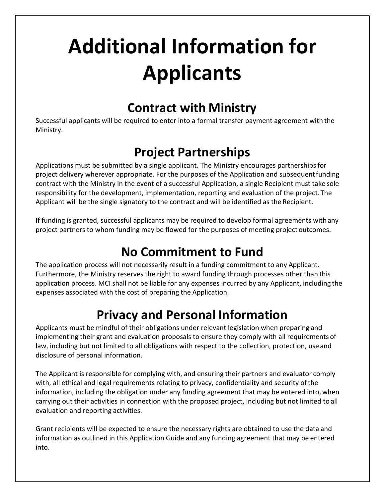# <span id="page-15-0"></span>**Additional Information for Applicants**

### **Contract with Ministry**

<span id="page-15-1"></span>Successful applicants will be required to enter into a formal transfer payment agreement with the Ministry.

## **Project Partnerships**

<span id="page-15-2"></span>Applications must be submitted by a single applicant. The Ministry encourages partnerships for project delivery wherever appropriate. For the purposes of the Application and subsequent funding contract with the Ministry in the event of a successful Application, a single Recipient must take sole responsibility for the development, implementation, reporting and evaluation of the project. The Applicant will be the single signatory to the contract and will be identified as the Recipient.

If funding is granted, successful applicants may be required to develop formal agreements with any project partners to whom funding may be flowed for the purposes of meeting project outcomes.

## **No Commitment to Fund**

<span id="page-15-3"></span>The application process will not necessarily result in a funding commitment to any Applicant. Furthermore, the Ministry reserves the right to award funding through processes other than this application process. MCI shall not be liable for any expenses incurred by any Applicant, including the expenses associated with the cost of preparing the Application.

## **Privacy and Personal Information**

<span id="page-15-4"></span>Applicants must be mindful of their obligations under relevant legislation when preparing and implementing their grant and evaluation proposals to ensure they comply with all requirements of law, including but not limited to all obligations with respect to the collection, protection, use and disclosure of personal information.

The Applicant is responsible for complying with, and ensuring their partners and evaluator comply with, all ethical and legal requirements relating to privacy, confidentiality and security of the information, including the obligation under any funding agreement that may be entered into, when carrying out their activities in connection with the proposed project, including but not limited to all evaluation and reporting activities.

Grant recipients will be expected to ensure the necessary rights are obtained to use the data and information as outlined in this Application Guide and any funding agreement that may be entered into.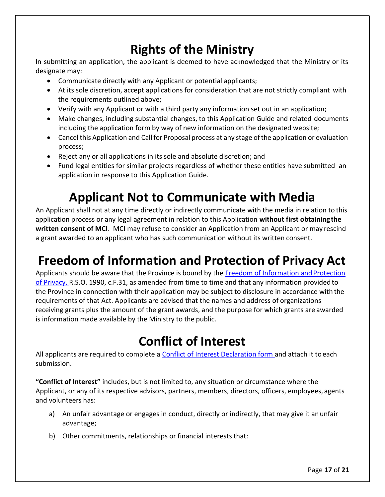## **Rights of the Ministry**

<span id="page-16-0"></span>In submitting an application, the applicant is deemed to have acknowledged that the Ministry or its designate may:

- Communicate directly with any Applicant or potential applicants;
- At its sole discretion, accept applications for consideration that are not strictly compliant with the requirements outlined above;
- Verify with any Applicant or with a third party any information set out in an application;
- Make changes, including substantial changes, to this Application Guide and related documents including the application form by way of new information on the designated website;
- Cancel this Application and Call for Proposal process at any stage of the application or evaluation process;
- Reject any or all applications in its sole and absolute discretion; and
- Fund legal entities for similar projects regardless of whether these entities have submitted an application in response to this Application Guide.

## **Applicant Not to Communicate with Media**

<span id="page-16-1"></span>An Applicant shall not at any time directly or indirectly communicate with the media in relation to this application process or any legal agreement in relation to this Application **without first obtaining the written consent of MCI**. MCI may refuse to consider an Application from an Applicant or may rescind a grant awarded to an applicant who has such communication without its written consent.

## <span id="page-16-2"></span>**Freedom of Information and Protection of Privacy Act**

Applicants should be aware that the Province is bound by the [Freedom of Information and Protection](https://www.ontario.ca/laws/statute/90f31) [of Privacy, R](https://www.ontario.ca/laws/statute/90f31).S.O. 1990, c.F.31, as amended from time to time and that any information provided to the Province in connection with their application may be subject to disclosure in accordance with the requirements of that Act. Applicants are advised that the names and address of organizations receiving grants plus the amount of the grant awards, and the purpose for which grants are awarded is information made available by the Ministry to the public.

## **Conflict of Interest**

<span id="page-16-3"></span>All applicants are required to complete [a Conflict of Interest Declaration form a](http://www.grants.gov.on.ca/GrantsPortal/en/OntarioGrants/GrantOpportunities/PRDR017449.html)nd attach it to each submission.

**"Conflict of Interest"** includes, but is not limited to, any situation or circumstance where the Applicant, or any of its respective advisors, partners, members, directors, officers, employees, agents and volunteers has:

- a) An unfair advantage or engages in conduct, directly or indirectly, that may give it an unfair advantage;
- b) Other commitments, relationships or financial interests that: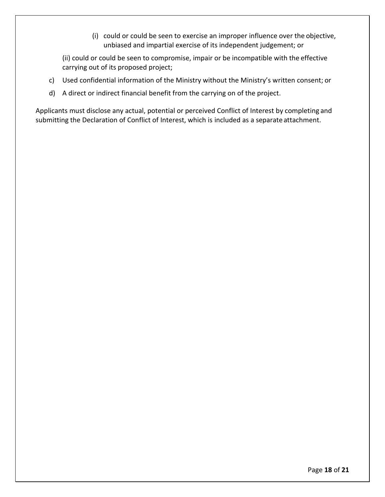(i) could or could be seen to exercise an improper influence over the objective, unbiased and impartial exercise of its independent judgement; or

(ii) could or could be seen to compromise, impair or be incompatible with the effective carrying out of its proposed project;

- c) Used confidential information of the Ministry without the Ministry's written consent; or
- d) A direct or indirect financial benefit from the carrying on of the project.

Applicants must disclose any actual, potential or perceived Conflict of Interest by completing and submitting the Declaration of Conflict of Interest, which is included as a separate attachment.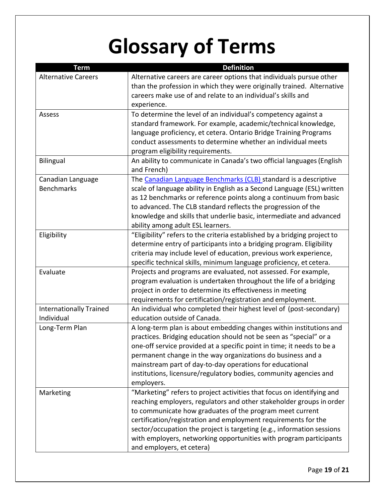# **Glossary of Terms**

<span id="page-18-0"></span>

| <b>Term</b>                    | <b>Definition</b>                                                                                                                |
|--------------------------------|----------------------------------------------------------------------------------------------------------------------------------|
| <b>Alternative Careers</b>     | Alternative careers are career options that individuals pursue other                                                             |
|                                | than the profession in which they were originally trained. Alternative                                                           |
|                                | careers make use of and relate to an individual's skills and                                                                     |
|                                | experience.                                                                                                                      |
| Assess                         | To determine the level of an individual's competency against a                                                                   |
|                                | standard framework. For example, academic/technical knowledge,                                                                   |
|                                | language proficiency, et cetera. Ontario Bridge Training Programs                                                                |
|                                | conduct assessments to determine whether an individual meets                                                                     |
|                                | program eligibility requirements.                                                                                                |
| <b>Bilingual</b>               | An ability to communicate in Canada's two official languages (English                                                            |
|                                | and French)                                                                                                                      |
| Canadian Language              | The Canadian Language Benchmarks (CLB) standard is a descriptive                                                                 |
| <b>Benchmarks</b>              | scale of language ability in English as a Second Language (ESL) written                                                          |
|                                | as 12 benchmarks or reference points along a continuum from basic                                                                |
|                                | to advanced. The CLB standard reflects the progression of the                                                                    |
|                                | knowledge and skills that underlie basic, intermediate and advanced                                                              |
|                                | ability among adult ESL learners.                                                                                                |
| Eligibility                    | "Eligibility" refers to the criteria established by a bridging project to                                                        |
|                                | determine entry of participants into a bridging program. Eligibility                                                             |
|                                | criteria may include level of education, previous work experience,                                                               |
|                                | specific technical skills, minimum language proficiency, et cetera.                                                              |
| Evaluate                       | Projects and programs are evaluated, not assessed. For example,                                                                  |
|                                | program evaluation is undertaken throughout the life of a bridging                                                               |
|                                | project in order to determine its effectiveness in meeting                                                                       |
|                                | requirements for certification/registration and employment.                                                                      |
| <b>Internationally Trained</b> | An individual who completed their highest level of (post-secondary)                                                              |
| Individual                     | education outside of Canada.                                                                                                     |
| Long-Term Plan                 | A long-term plan is about embedding changes within institutions and                                                              |
|                                | practices. Bridging education should not be seen as "special" or a                                                               |
|                                | one-off service provided at a specific point in time; it needs to be a                                                           |
|                                | permanent change in the way organizations do business and a                                                                      |
|                                | mainstream part of day-to-day operations for educational                                                                         |
|                                | institutions, licensure/regulatory bodies, community agencies and                                                                |
|                                | employers.                                                                                                                       |
| Marketing                      | "Marketing" refers to project activities that focus on identifying and                                                           |
|                                | reaching employers, regulators and other stakeholder groups in order<br>to communicate how graduates of the program meet current |
|                                | certification/registration and employment requirements for the                                                                   |
|                                | sector/occupation the project is targeting (e.g., information sessions                                                           |
|                                | with employers, networking opportunities with program participants                                                               |
|                                | and employers, et cetera)                                                                                                        |
|                                |                                                                                                                                  |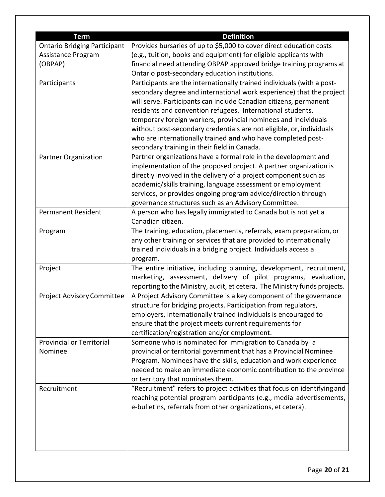| <b>Term</b>                         | <b>Definition</b>                                                         |
|-------------------------------------|---------------------------------------------------------------------------|
| <b>Ontario Bridging Participant</b> | Provides bursaries of up to \$5,000 to cover direct education costs       |
| Assistance Program                  | (e.g., tuition, books and equipment) for eligible applicants with         |
| (OBPAP)                             | financial need attending OBPAP approved bridge training programs at       |
|                                     | Ontario post-secondary education institutions.                            |
| Participants                        | Participants are the internationally trained individuals (with a post-    |
|                                     | secondary degree and international work experience) that the project      |
|                                     | will serve. Participants can include Canadian citizens, permanent         |
|                                     |                                                                           |
|                                     | residents and convention refugees. International students,                |
|                                     | temporary foreign workers, provincial nominees and individuals            |
|                                     | without post-secondary credentials are not eligible, or, individuals      |
|                                     | who are internationally trained and who have completed post-              |
|                                     | secondary training in their field in Canada.                              |
| <b>Partner Organization</b>         | Partner organizations have a formal role in the development and           |
|                                     | implementation of the proposed project. A partner organization is         |
|                                     | directly involved in the delivery of a project component such as          |
|                                     | academic/skills training, language assessment or employment               |
|                                     | services, or provides ongoing program advice/direction through            |
|                                     | governance structures such as an Advisory Committee.                      |
| <b>Permanent Resident</b>           | A person who has legally immigrated to Canada but is not yet a            |
|                                     | Canadian citizen.                                                         |
| Program                             | The training, education, placements, referrals, exam preparation, or      |
|                                     | any other training or services that are provided to internationally       |
|                                     | trained individuals in a bridging project. Individuals access a           |
|                                     | program.                                                                  |
| Project                             | The entire initiative, including planning, development, recruitment,      |
|                                     | marketing, assessment, delivery of pilot programs, evaluation,            |
|                                     | reporting to the Ministry, audit, et cetera. The Ministry funds projects. |
| <b>Project Advisory Committee</b>   | A Project Advisory Committee is a key component of the governance         |
|                                     | structure for bridging projects. Participation from regulators,           |
|                                     | employers, internationally trained individuals is encouraged to           |
|                                     | ensure that the project meets current requirements for                    |
|                                     | certification/registration and/or employment.                             |
| <b>Provincial or Territorial</b>    | Someone who is nominated for immigration to Canada by a                   |
| Nominee                             | provincial or territorial government that has a Provincial Nominee        |
|                                     | Program. Nominees have the skills, education and work experience          |
|                                     | needed to make an immediate economic contribution to the province         |
|                                     | or territory that nominates them.                                         |
| Recruitment                         | "Recruitment" refers to project activities that focus on identifying and  |
|                                     | reaching potential program participants (e.g., media advertisements,      |
|                                     |                                                                           |
|                                     | e-bulletins, referrals from other organizations, et cetera).              |
|                                     |                                                                           |
|                                     |                                                                           |
|                                     |                                                                           |
|                                     |                                                                           |
|                                     |                                                                           |